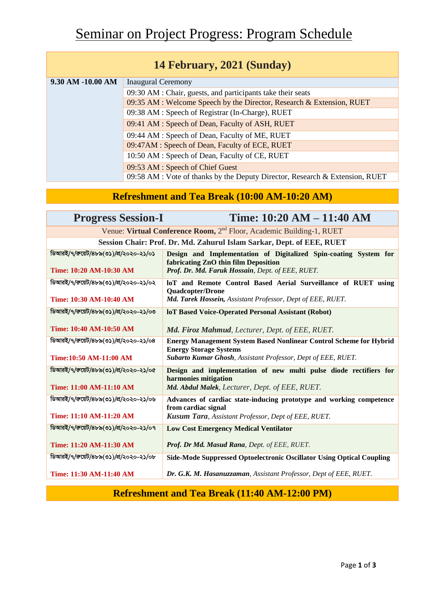| 14 February, 2021 (Sunday) |                                                                              |  |
|----------------------------|------------------------------------------------------------------------------|--|
| 9.30 AM -10.00 AM          | <b>Inaugural Ceremony</b>                                                    |  |
|                            | 09:30 AM : Chair, guests, and participants take their seats                  |  |
|                            | 09:35 AM : Welcome Speech by the Director, Research & Extension, RUET        |  |
|                            | 09:38 AM : Speech of Registrar (In-Charge), RUET                             |  |
|                            | 09:41 AM : Speech of Dean, Faculty of ASH, RUET                              |  |
|                            | 09:44 AM : Speech of Dean, Faculty of ME, RUET                               |  |
|                            | 09:47AM : Speech of Dean, Faculty of ECE, RUET                               |  |
|                            | 10:50 AM : Speech of Dean, Faculty of CE, RUET                               |  |
|                            | 09:53 AM : Speech of Chief Guest                                             |  |
|                            | 09:58 AM : Vote of thanks by the Deputy Director, Research & Extension, RUET |  |

## **Refreshment and Tea Break (10:00 AM-10:20 AM)**

| <b>Progress Session-I</b>                                                        | Time: 10:20 AM - 11:40 AM                                                                                                                                                  |  |  |
|----------------------------------------------------------------------------------|----------------------------------------------------------------------------------------------------------------------------------------------------------------------------|--|--|
| Venue: Virtual Conference Room, 2 <sup>nd</sup> Floor, Academic Building-1, RUET |                                                                                                                                                                            |  |  |
| Session Chair: Prof. Dr. Md. Zahurul Islam Sarkar, Dept. of EEE, RUET            |                                                                                                                                                                            |  |  |
| ডিআরই/৭/রুয়েট/৪৮৯(৩১)/প্র/২০২০-২১/০১<br>Time: 10:20 AM-10:30 AM                 | Design and Implementation of Digitalized Spin-coating System for<br>fabricating ZnO thin film Deposition<br>Prof. Dr. Md. Faruk Hossain, Dept. of EEE, RUET.               |  |  |
| ডিআরই/৭/রুয়েট/৪৮৯(৩১)/প্র/২০২০-২১/০২<br>Time: 10:30 AM-10:40 AM                 | loT and Remote Control Based Aerial Surveillance of RUET using<br><b>Quadcopter/Drone</b><br>Md. Tarek Hossein, Assistant Professor, Dept of EEE, RUET.                    |  |  |
| ডিআরই/৭/রুয়েট/৪৮৯(৩১)/প্র/২০২০-২১/০৩<br>Time: 10:40 AM-10:50 AM                 | <b>loT Based Voice-Operated Personal Assistant (Robot)</b><br>Md. Firoz Mahmud, Lecturer, Dept. of EEE, RUET.                                                              |  |  |
| ডিআরই/৭/রুয়েট/৪৮৯(৩১)/প্র/২০২০-২১/০৪<br>Time:10:50 AM-11:00 AM                  | <b>Energy Management System Based Nonlinear Control Scheme for Hybrid</b><br><b>Energy Storage Systems</b><br>Subarto Kumar Ghosh, Assistant Professor, Dept of EEE, RUET. |  |  |
| ডিআরই/৭/রুয়েট/৪৮৯(৩১)/প্র/২০২০-২১/০৫<br>Time: 11:00 AM-11:10 AM                 | Design and implementation of new multi pulse diode rectifiers for<br>harmonies mitigation<br>Md. Abdul Malek, Lecturer, Dept. of EEE, RUET.                                |  |  |
| ডিআরই/৭/রুয়েট/৪৮৯(৩১)/প্র/২০২০-২১/০৬<br>Time: 11:10 AM-11:20 AM                 | Advances of cardiac state-inducing prototype and working competence<br>from cardiac signal<br>Kusum Tara, Assistant Professor, Dept of EEE, RUET.                          |  |  |
| ডিআরই/৭/রুয়েট/৪৮৯(৩১)/প্র/২০২০-২১/০৭<br>Time: 11:20 AM-11:30 AM                 | <b>Low Cost Emergency Medical Ventilator</b><br>Prof. Dr Md. Masud Rana, Dept. of EEE, RUET.                                                                               |  |  |
| ডিআরই/৭/রুয়েট/৪৮৯(৩১)/প্র/২০২০-২১/০৮<br>Time: 11:30 AM-11:40 AM                 | Side-Mode Suppressed Optoelectronic Oscillator Using Optical Coupling<br>Dr. G.K. M. Hasanuzzaman, Assistant Professor, Dept of EEE, RUET.                                 |  |  |

#### **Refreshment and Tea Break (11:40 AM-12:00 PM)**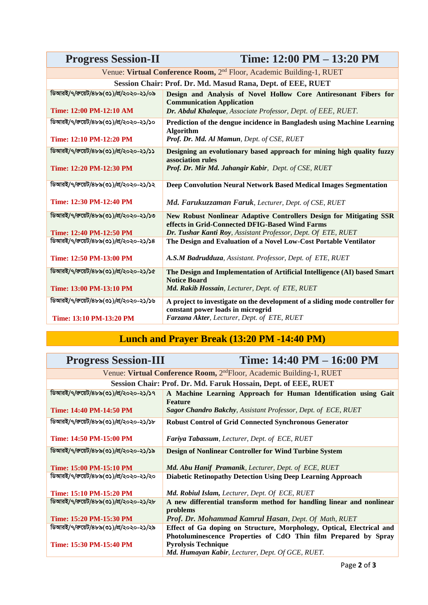| <b>Progress Session-II</b>                                                       | Time: 12:00 PM – 13:20 PM                                                                                                                                                               |  |
|----------------------------------------------------------------------------------|-----------------------------------------------------------------------------------------------------------------------------------------------------------------------------------------|--|
| Venue: Virtual Conference Room, 2 <sup>nd</sup> Floor, Academic Building-1, RUET |                                                                                                                                                                                         |  |
| Session Chair: Prof. Dr. Md. Masud Rana, Dept. of EEE, RUET                      |                                                                                                                                                                                         |  |
| ডিআরই/৭/রুয়েট/৪৮৯(৩১)/প্র/২০২০-২১/০৯<br>Time: 12:00 PM-12:10 AM                 | Design and Analysis of Novel Hollow Core Antiresonant Fibers for<br><b>Communication Application</b><br>Dr. Abdul Khaleque, Associate Professor, Dept. of EEE, RUET.                    |  |
| ডিআরই/৭/রুয়েট/৪৮৯(৩১)/প্র/২০২০-২১/১০<br>Time: 12:10 PM-12:20 PM                 | Prediction of the dengue incidence in Bangladesh using Machine Learning<br><b>Algorithm</b><br>Prof. Dr. Md. Al Mamun, Dept. of CSE, RUET                                               |  |
| ডিআরই/৭/রুয়েট/৪৮৯(৩১)/প্র/২০২০-২১/১১<br>Time: 12:20 PM-12:30 PM                 | Designing an evolutionary based approach for mining high quality fuzzy<br>association rules<br>Prof. Dr. Mir Md. Jahangir Kabir, Dept. of CSE, RUET                                     |  |
| ডিআরই/৭/রুয়েট/৪৮৯(৩১)/প্র/২০২০-২১/১২<br>Time: 12:30 PM-12:40 PM                 | Deep Convolution Neural Network Based Medical Images Segmentation<br>Md. Farukuzzaman Faruk, Lecturer, Dept. of CSE, RUET                                                               |  |
| ডিআরই/৭/রুয়েট/৪৮৯(৩১)/প্র/২০২০-২১/১৩<br>Time: 12:40 PM-12:50 PM                 | New Robust Nonlinear Adaptive Controllers Design for Mitigating SSR<br>effects in Grid-Connected DFIG-Based Wind Farms<br>Dr. Tushar Kanti Roy, Assistant Professor, Dept. Of ETE, RUET |  |
| ডিআরই/৭/রুয়েট/৪৮৯(৩১)/প্র/২০২০-২১/১৪<br>Time: 12:50 PM-13:00 PM                 | The Design and Evaluation of a Novel Low-Cost Portable Ventilator<br>A.S.M Badrudduza, Assistant. Professor, Dept. of ETE, RUET                                                         |  |
| ডিআরই/৭/রুয়েট/৪৮৯(৩১)/প্র/২০২০-২১/১৫<br>Time: 13:00 PM-13:10 PM                 | The Design and Implementation of Artificial Intelligence (AI) based Smart<br><b>Notice Board</b><br>Md. Rakib Hossain, Lecturer, Dept. of ETE, RUET                                     |  |
| ডিআরই/৭/রুয়েট/৪৮৯(৩১)/প্র/২০২০-২১/১৬<br>Time: 13:10 PM-13:20 PM                 | A project to investigate on the development of a sliding mode controller for<br>constant power loads in microgrid<br>Farzana Akter, Lecturer, Dept. of ETE, RUET                        |  |

# **Lunch and Prayer Break (13:20 PM -14:40 PM)**

| <b>Progress Session-III</b>                                                      | Time: 14:40 PM - 16:00 PM                                                                                                                |  |
|----------------------------------------------------------------------------------|------------------------------------------------------------------------------------------------------------------------------------------|--|
| Venue: Virtual Conference Room, 2 <sup>nd</sup> Floor, Academic Building-1, RUET |                                                                                                                                          |  |
|                                                                                  | Session Chair: Prof. Dr. Md. Faruk Hossain, Dept. of EEE, RUET                                                                           |  |
| ডিআরই/৭/রুয়েট/৪৮৯(৩১)/প্র/২০২০-২১/১৭                                            | A Machine Learning Approach for Human Identification using Gait<br><b>Feature</b>                                                        |  |
| Time: 14:40 PM-14:50 PM                                                          | <b>Sagor Chandro Bakchy, Assistant Professor, Dept. of ECE, RUET</b>                                                                     |  |
| ডিআরই/৭/রুয়েট/৪৮৯(৩১)/প্র/২০২০-২১/১৮                                            | <b>Robust Control of Grid Connected Synchronous Generator</b>                                                                            |  |
| Time: 14:50 PM-15:00 PM                                                          | Fariya Tabassum, Lecturer, Dept. of ECE, RUET                                                                                            |  |
| ডিআরই/৭/রুয়েট/৪৮৯(৩১)/প্র/২০২০-২১/১৯                                            | <b>Design of Nonlinear Controller for Wind Turbine System</b>                                                                            |  |
| Time: 15:00 PM-15:10 PM                                                          | Md. Abu Hanif Pramanik, Lecturer, Dept. of ECE, RUET                                                                                     |  |
| ডিআরই/৭/রুয়েট/৪৮৯(৩১)/প্র/২০২০-২১/২০                                            | <b>Diabetic Retinopathy Detection Using Deep Learning Approach</b>                                                                       |  |
| Time: 15:10 PM-15:20 PM                                                          | <b>Md. Robiul Islam, Lecturer, Dept. Of ECE, RUET</b>                                                                                    |  |
| ডিআরই/৭/রুয়েট/৪৮৯(৩১)/প্র/২০২০-২১/২৮                                            | A new differential transform method for handling linear and nonlinear<br>problems                                                        |  |
| Time: 15:20 PM-15:30 PM                                                          | Prof. Dr. Mohammad Kamrul Hasan, Dept. Of Math, RUET                                                                                     |  |
| ডিআরই/৭/রুয়েট/৪৮৯(৩১)/প্র/২০২০-২১/২৯                                            | Effect of Ga doping on Structure, Morphology, Optical, Electrical and<br>Photoluminescence Properties of CdO Thin film Prepared by Spray |  |
| Time: 15:30 PM-15:40 PM                                                          | <b>Pyrolysis Technique</b><br>Md. Humayan Kabir, Lecturer, Dept. Of GCE, RUET.                                                           |  |